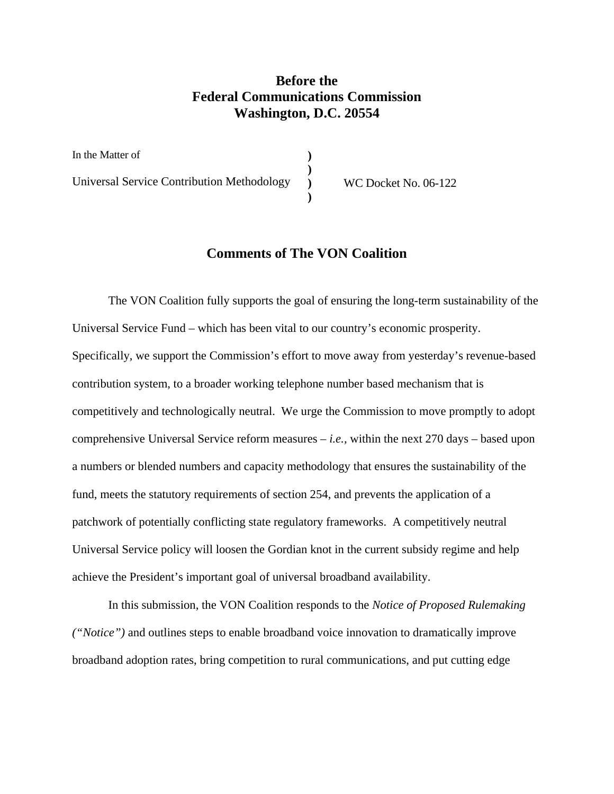# **Before the Federal Communications Commission Washington, D.C. 20554**

In the Matter of Universal Service Contribution Methodology **) ) ) )**  WC Docket No. 06-122

## **Comments of The VON Coalition**

The VON Coalition fully supports the goal of ensuring the long-term sustainability of the Universal Service Fund – which has been vital to our country's economic prosperity. Specifically, we support the Commission's effort to move away from yesterday's revenue-based contribution system, to a broader working telephone number based mechanism that is competitively and technologically neutral. We urge the Commission to move promptly to adopt comprehensive Universal Service reform measures *– i.e.,* within the next 270 days – based upon a numbers or blended numbers and capacity methodology that ensures the sustainability of the fund, meets the statutory requirements of section 254, and prevents the application of a patchwork of potentially conflicting state regulatory frameworks. A competitively neutral Universal Service policy will loosen the Gordian knot in the current subsidy regime and help achieve the President's important goal of universal broadband availability.

In this submission, the VON Coalition responds to the *Notice of Proposed Rulemaking ("Notice")* and outlines steps to enable broadband voice innovation to dramatically improve broadband adoption rates, bring competition to rural communications, and put cutting edge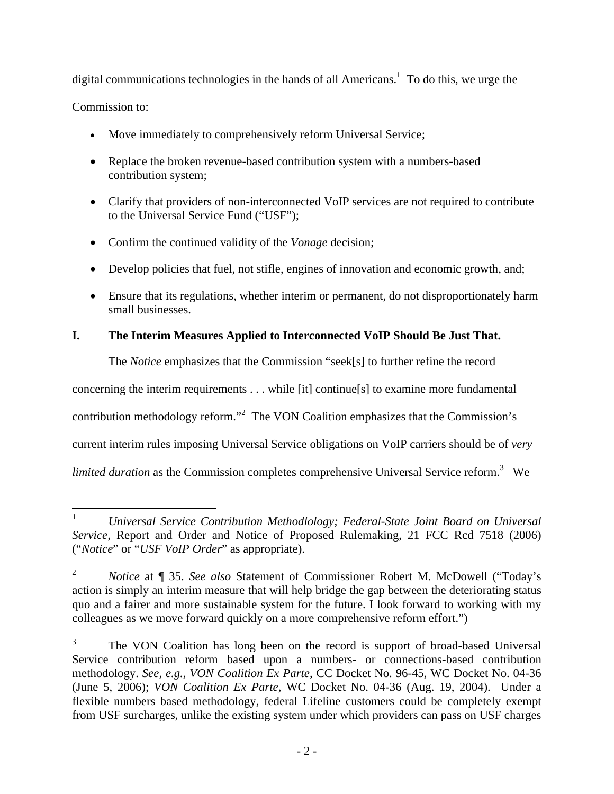digital communications technologies in the hands of all Americans.<sup>1</sup> To do this, we urge the

Commission to:

- Move immediately to comprehensively reform Universal Service;
- Replace the broken revenue-based contribution system with a numbers-based contribution system;
- Clarify that providers of non-interconnected VoIP services are not required to contribute to the Universal Service Fund ("USF");
- Confirm the continued validity of the *Vonage* decision;
- Develop policies that fuel, not stifle, engines of innovation and economic growth, and;
- Ensure that its regulations, whether interim or permanent, do not disproportionately harm small businesses.

# **I. The Interim Measures Applied to Interconnected VoIP Should Be Just That.**

The *Notice* emphasizes that the Commission "seek[s] to further refine the record

concerning the interim requirements . . . while [it] continue[s] to examine more fundamental

contribution methodology reform."<sup>2</sup> The VON Coalition emphasizes that the Commission's

current interim rules imposing Universal Service obligations on VoIP carriers should be of *very*

limited duration as the Commission completes comprehensive Universal Service reform.<sup>3</sup> We

 $\frac{1}{1}$  *Universal Service Contribution Methodlology; Federal-State Joint Board on Universal Service,* Report and Order and Notice of Proposed Rulemaking, 21 FCC Rcd 7518 (2006) ("*Notice*" or "*USF VoIP Order*" as appropriate).

<sup>2</sup> *Notice* at ¶ 35. *See also* Statement of Commissioner Robert M. McDowell ("Today's action is simply an interim measure that will help bridge the gap between the deteriorating status quo and a fairer and more sustainable system for the future. I look forward to working with my colleagues as we move forward quickly on a more comprehensive reform effort.")

<sup>3</sup> The VON Coalition has long been on the record is support of broad-based Universal Service contribution reform based upon a numbers- or connections-based contribution methodology. *See, e.g., VON Coalition Ex Parte*, CC Docket No. 96-45, WC Docket No. 04-36 (June 5, 2006); *VON Coalition Ex Parte*, WC Docket No. 04-36 (Aug. 19, 2004). Under a flexible numbers based methodology, federal Lifeline customers could be completely exempt from USF surcharges, unlike the existing system under which providers can pass on USF charges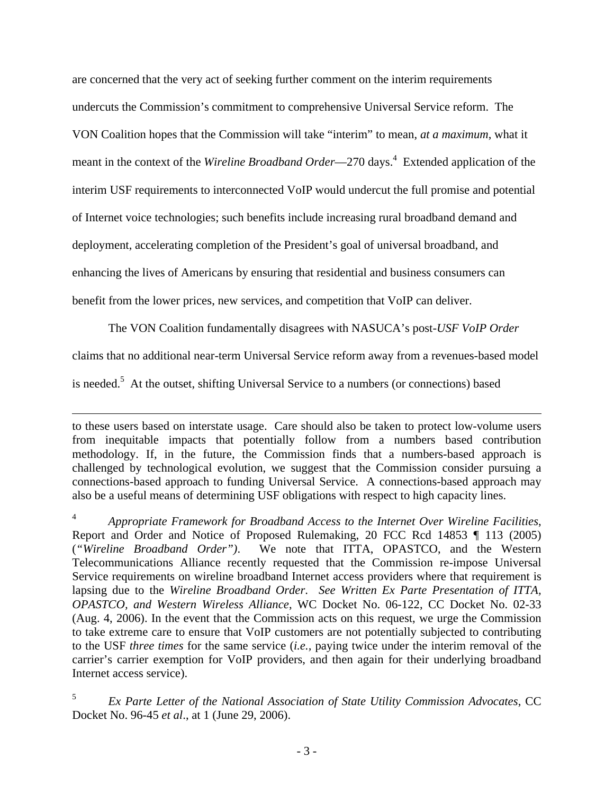are concerned that the very act of seeking further comment on the interim requirements undercuts the Commission's commitment to comprehensive Universal Service reform. The VON Coalition hopes that the Commission will take "interim" to mean, *at a maximum*, what it meant in the context of the *Wireline Broadband Order*—270 days.<sup>4</sup> Extended application of the interim USF requirements to interconnected VoIP would undercut the full promise and potential of Internet voice technologies; such benefits include increasing rural broadband demand and deployment, accelerating completion of the President's goal of universal broadband, and enhancing the lives of Americans by ensuring that residential and business consumers can benefit from the lower prices, new services, and competition that VoIP can deliver.

The VON Coalition fundamentally disagrees with NASUCA's post-*USF VoIP Order*

claims that no additional near-term Universal Service reform away from a revenues-based model

is needed.<sup>5</sup> At the outset, shifting Universal Service to a numbers (or connections) based

to these users based on interstate usage. Care should also be taken to protect low-volume users from inequitable impacts that potentially follow from a numbers based contribution methodology. If, in the future, the Commission finds that a numbers-based approach is challenged by technological evolution, we suggest that the Commission consider pursuing a connections-based approach to funding Universal Service. A connections-based approach may also be a useful means of determining USF obligations with respect to high capacity lines.

<sup>4</sup> *Appropriate Framework for Broadband Access to the Internet Over Wireline Facilities*, Report and Order and Notice of Proposed Rulemaking, 20 FCC Rcd 14853 ¶ 113 (2005) (*"Wireline Broadband Order")*. We note that ITTA, OPASTCO, and the Western Telecommunications Alliance recently requested that the Commission re-impose Universal Service requirements on wireline broadband Internet access providers where that requirement is lapsing due to the *Wireline Broadband Order*. *See Written Ex Parte Presentation of ITTA, OPASTCO, and Western Wireless Alliance*, WC Docket No. 06-122, CC Docket No. 02-33 (Aug. 4, 2006). In the event that the Commission acts on this request, we urge the Commission to take extreme care to ensure that VoIP customers are not potentially subjected to contributing to the USF *three times* for the same service (*i.e.,* paying twice under the interim removal of the carrier's carrier exemption for VoIP providers, and then again for their underlying broadband Internet access service).

<sup>5</sup> *Ex Parte Letter of the National Association of State Utility Commission Advocates*, CC Docket No. 96-45 *et al*., at 1 (June 29, 2006).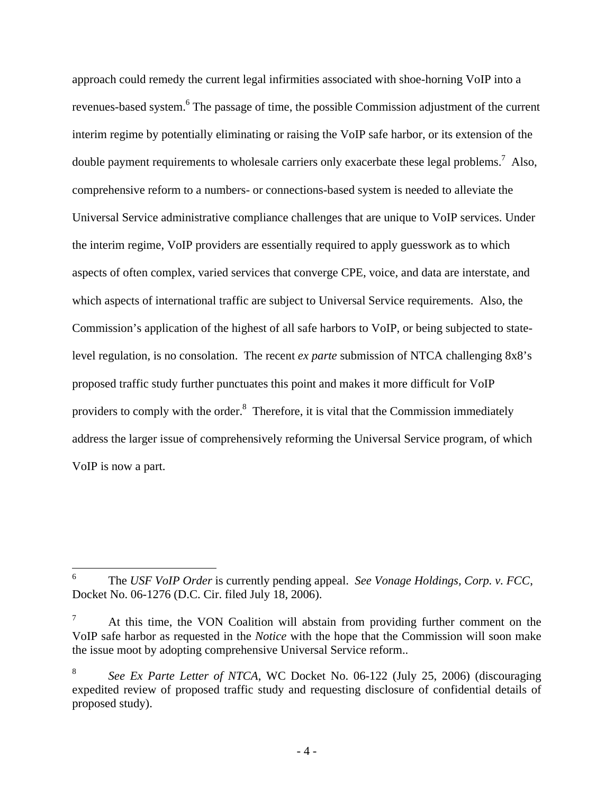approach could remedy the current legal infirmities associated with shoe-horning VoIP into a revenues-based system. <sup>6</sup> The passage of time, the possible Commission adjustment of the current interim regime by potentially eliminating or raising the VoIP safe harbor, or its extension of the double payment requirements to wholesale carriers only exacerbate these legal problems.<sup>7</sup> Also, comprehensive reform to a numbers- or connections-based system is needed to alleviate the Universal Service administrative compliance challenges that are unique to VoIP services. Under the interim regime, VoIP providers are essentially required to apply guesswork as to which aspects of often complex, varied services that converge CPE, voice, and data are interstate, and which aspects of international traffic are subject to Universal Service requirements. Also, the Commission's application of the highest of all safe harbors to VoIP, or being subjected to statelevel regulation, is no consolation. The recent *ex parte* submission of NTCA challenging 8x8's proposed traffic study further punctuates this point and makes it more difficult for VoIP providers to comply with the order.<sup>8</sup> Therefore, it is vital that the Commission immediately address the larger issue of comprehensively reforming the Universal Service program, of which VoIP is now a part.

<sup>6</sup> The *USF VoIP Order* is currently pending appeal. *See Vonage Holdings, Corp. v. FCC*, Docket No. 06-1276 (D.C. Cir. filed July 18, 2006).

<sup>7</sup> At this time, the VON Coalition will abstain from providing further comment on the VoIP safe harbor as requested in the *Notice* with the hope that the Commission will soon make the issue moot by adopting comprehensive Universal Service reform..

<sup>8</sup> *See Ex Parte Letter of NTCA*, WC Docket No. 06-122 (July 25, 2006) (discouraging expedited review of proposed traffic study and requesting disclosure of confidential details of proposed study).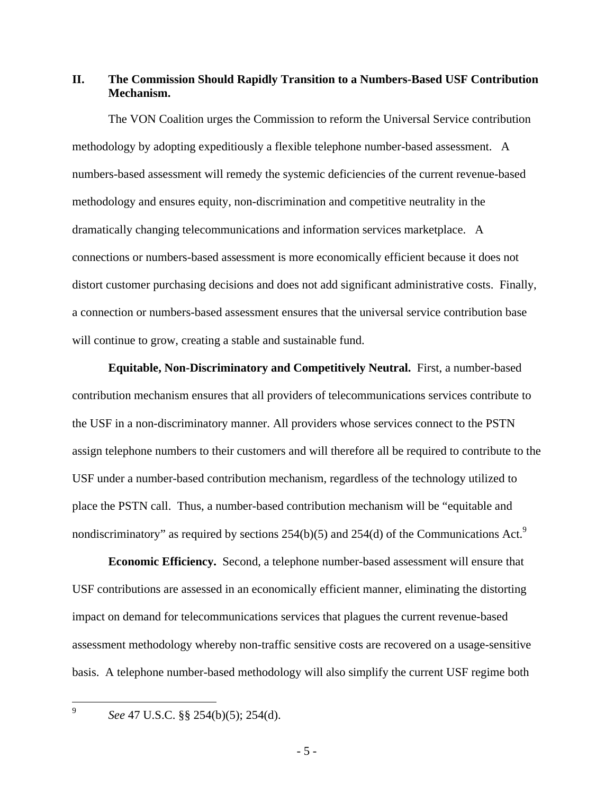## **II. The Commission Should Rapidly Transition to a Numbers-Based USF Contribution Mechanism.**

The VON Coalition urges the Commission to reform the Universal Service contribution methodology by adopting expeditiously a flexible telephone number-based assessment. A numbers-based assessment will remedy the systemic deficiencies of the current revenue-based methodology and ensures equity, non-discrimination and competitive neutrality in the dramatically changing telecommunications and information services marketplace. A connections or numbers-based assessment is more economically efficient because it does not distort customer purchasing decisions and does not add significant administrative costs. Finally, a connection or numbers-based assessment ensures that the universal service contribution base will continue to grow, creating a stable and sustainable fund.

 **Equitable, Non-Discriminatory and Competitively Neutral.** First, a number-based contribution mechanism ensures that all providers of telecommunications services contribute to the USF in a non-discriminatory manner. All providers whose services connect to the PSTN assign telephone numbers to their customers and will therefore all be required to contribute to the USF under a number-based contribution mechanism, regardless of the technology utilized to place the PSTN call. Thus, a number-based contribution mechanism will be "equitable and nondiscriminatory" as required by sections 254(b)(5) and 254(d) of the Communications Act.<sup>9</sup>

**Economic Efficiency.** Second, a telephone number-based assessment will ensure that USF contributions are assessed in an economically efficient manner, eliminating the distorting impact on demand for telecommunications services that plagues the current revenue-based assessment methodology whereby non-traffic sensitive costs are recovered on a usage-sensitive basis. A telephone number-based methodology will also simplify the current USF regime both

–<br>9

*See* 47 U.S.C. §§ 254(b)(5); 254(d).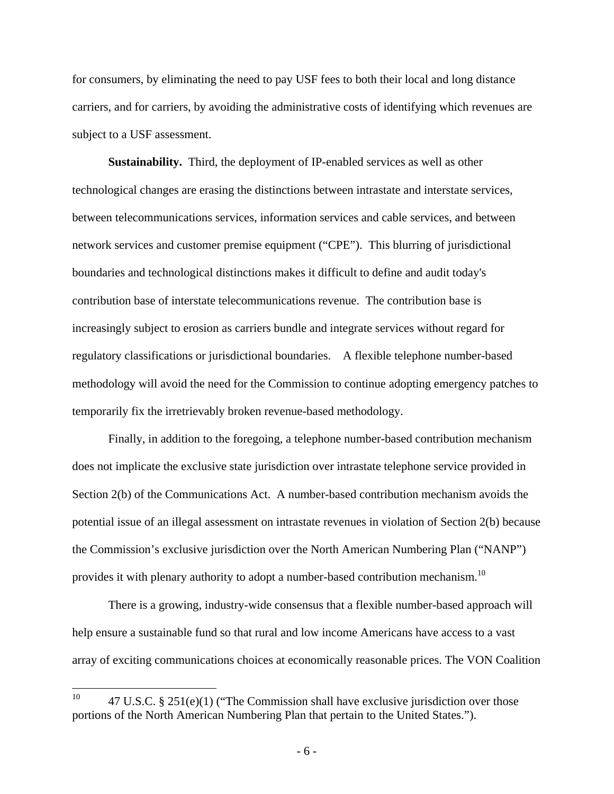for consumers, by eliminating the need to pay USF fees to both their local and long distance carriers, and for carriers, by avoiding the administrative costs of identifying which revenues are subject to a USF assessment.

**Sustainability.** Third, the deployment of IP-enabled services as well as other technological changes are erasing the distinctions between intrastate and interstate services, between telecommunications services, information services and cable services, and between network services and customer premise equipment ("CPE"). This blurring of jurisdictional boundaries and technological distinctions makes it difficult to define and audit today's contribution base of interstate telecommunications revenue. The contribution base is increasingly subject to erosion as carriers bundle and integrate services without regard for regulatory classifications or jurisdictional boundaries. A flexible telephone number-based methodology will avoid the need for the Commission to continue adopting emergency patches to temporarily fix the irretrievably broken revenue-based methodology.

 Finally, in addition to the foregoing, a telephone number-based contribution mechanism does not implicate the exclusive state jurisdiction over intrastate telephone service provided in Section 2(b) of the Communications Act. A number-based contribution mechanism avoids the potential issue of an illegal assessment on intrastate revenues in violation of Section 2(b) because the Commission's exclusive jurisdiction over the North American Numbering Plan ("NANP") provides it with plenary authority to adopt a number-based contribution mechanism.<sup>10</sup>

There is a growing, industry-wide consensus that a flexible number-based approach will help ensure a sustainable fund so that rural and low income Americans have access to a vast array of exciting communications choices at economically reasonable prices. The VON Coalition

 $10<sup>10</sup>$ 47 U.S.C. § 251(e)(1) ("The Commission shall have exclusive jurisdiction over those portions of the North American Numbering Plan that pertain to the United States.").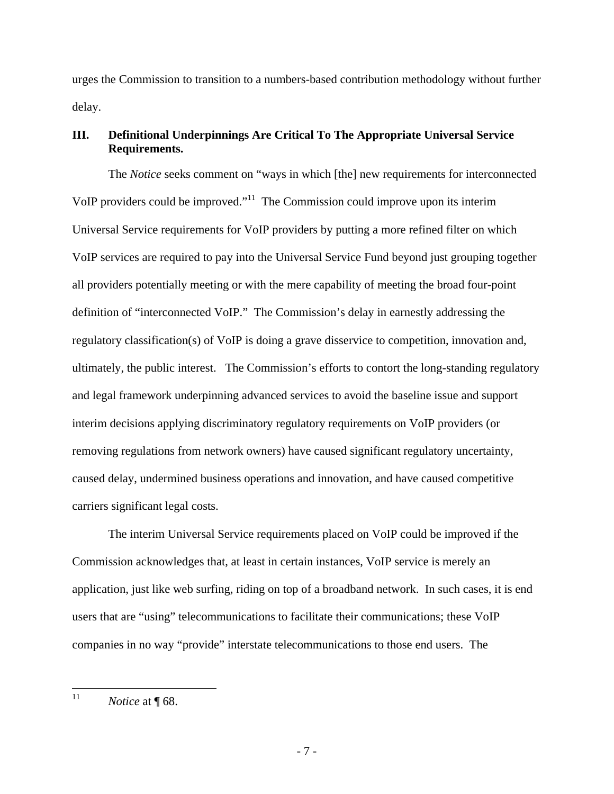urges the Commission to transition to a numbers-based contribution methodology without further delay.

## **III. Definitional Underpinnings Are Critical To The Appropriate Universal Service Requirements.**

The *Notice* seeks comment on "ways in which [the] new requirements for interconnected VoIP providers could be improved."11 The Commission could improve upon its interim Universal Service requirements for VoIP providers by putting a more refined filter on which VoIP services are required to pay into the Universal Service Fund beyond just grouping together all providers potentially meeting or with the mere capability of meeting the broad four-point definition of "interconnected VoIP." The Commission's delay in earnestly addressing the regulatory classification(s) of VoIP is doing a grave disservice to competition, innovation and, ultimately, the public interest. The Commission's efforts to contort the long-standing regulatory and legal framework underpinning advanced services to avoid the baseline issue and support interim decisions applying discriminatory regulatory requirements on VoIP providers (or removing regulations from network owners) have caused significant regulatory uncertainty, caused delay, undermined business operations and innovation, and have caused competitive carriers significant legal costs.

The interim Universal Service requirements placed on VoIP could be improved if the Commission acknowledges that, at least in certain instances, VoIP service is merely an application, just like web surfing, riding on top of a broadband network. In such cases, it is end users that are "using" telecommunications to facilitate their communications; these VoIP companies in no way "provide" interstate telecommunications to those end users. The

 $11$ *Notice* at **[68.**]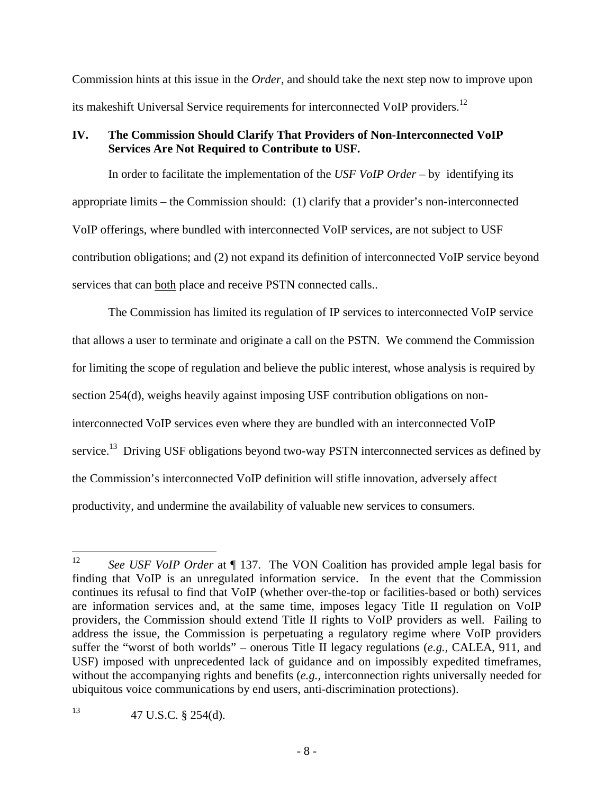Commission hints at this issue in the *Order*, and should take the next step now to improve upon its makeshift Universal Service requirements for interconnected VoIP providers.<sup>12</sup>

## **IV. The Commission Should Clarify That Providers of Non-Interconnected VoIP Services Are Not Required to Contribute to USF.**

In order to facilitate the implementation of the *USF VoIP Order* – by identifying its appropriate limits – the Commission should: (1) clarify that a provider's non-interconnected VoIP offerings, where bundled with interconnected VoIP services, are not subject to USF contribution obligations; and (2) not expand its definition of interconnected VoIP service beyond services that can both place and receive PSTN connected calls..

The Commission has limited its regulation of IP services to interconnected VoIP service that allows a user to terminate and originate a call on the PSTN. We commend the Commission for limiting the scope of regulation and believe the public interest, whose analysis is required by section 254(d), weighs heavily against imposing USF contribution obligations on noninterconnected VoIP services even where they are bundled with an interconnected VoIP service.<sup>13</sup> Driving USF obligations beyond two-way PSTN interconnected services as defined by the Commission's interconnected VoIP definition will stifle innovation, adversely affect productivity, and undermine the availability of valuable new services to consumers.

<sup>12</sup> 12 *See USF VoIP Order* at ¶ 137. The VON Coalition has provided ample legal basis for finding that VoIP is an unregulated information service. In the event that the Commission continues its refusal to find that VoIP (whether over-the-top or facilities-based or both) services are information services and, at the same time, imposes legacy Title II regulation on VoIP providers, the Commission should extend Title II rights to VoIP providers as well. Failing to address the issue, the Commission is perpetuating a regulatory regime where VoIP providers suffer the "worst of both worlds" – onerous Title II legacy regulations (*e.g.,* CALEA, 911, and USF) imposed with unprecedented lack of guidance and on impossibly expedited timeframes, without the accompanying rights and benefits (*e.g.,* interconnection rights universally needed for ubiquitous voice communications by end users, anti-discrimination protections).

<sup>13 47</sup> U.S.C.  $\S$  254(d).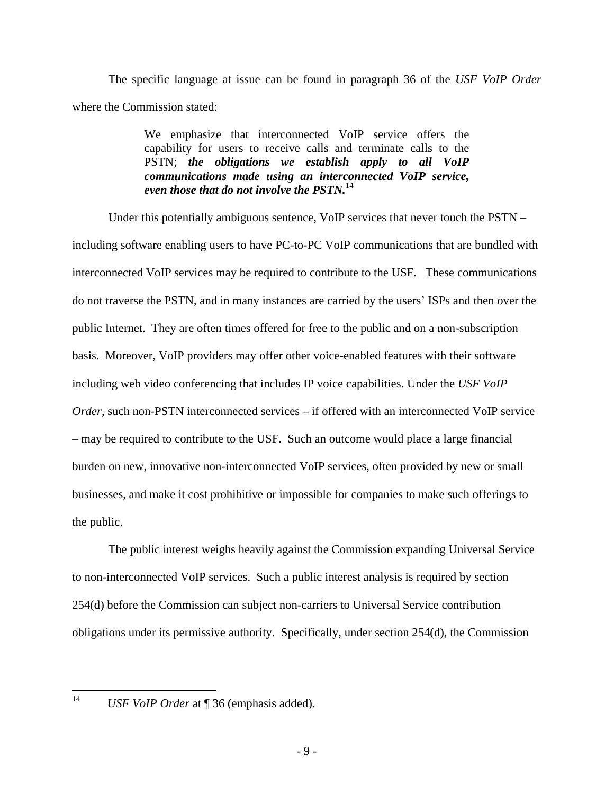The specific language at issue can be found in paragraph 36 of the *USF VoIP Order* where the Commission stated:

> We emphasize that interconnected VoIP service offers the capability for users to receive calls and terminate calls to the PSTN; *the obligations we establish apply to all VoIP communications made using an interconnected VoIP service, even those that do not involve the PSTN.*<sup>14</sup>

Under this potentially ambiguous sentence, VoIP services that never touch the PSTN – including software enabling users to have PC-to-PC VoIP communications that are bundled with interconnected VoIP services may be required to contribute to the USF. These communications do not traverse the PSTN, and in many instances are carried by the users' ISPs and then over the public Internet. They are often times offered for free to the public and on a non-subscription basis. Moreover, VoIP providers may offer other voice-enabled features with their software including web video conferencing that includes IP voice capabilities. Under the *USF VoIP Order*, such non-PSTN interconnected services – if offered with an interconnected VoIP service – may be required to contribute to the USF. Such an outcome would place a large financial burden on new, innovative non-interconnected VoIP services, often provided by new or small businesses, and make it cost prohibitive or impossible for companies to make such offerings to the public.

The public interest weighs heavily against the Commission expanding Universal Service to non-interconnected VoIP services. Such a public interest analysis is required by section 254(d) before the Commission can subject non-carriers to Universal Service contribution obligations under its permissive authority. Specifically, under section 254(d), the Commission

 $14$ 

<sup>14</sup> *USF VoIP Order* at ¶ 36 (emphasis added).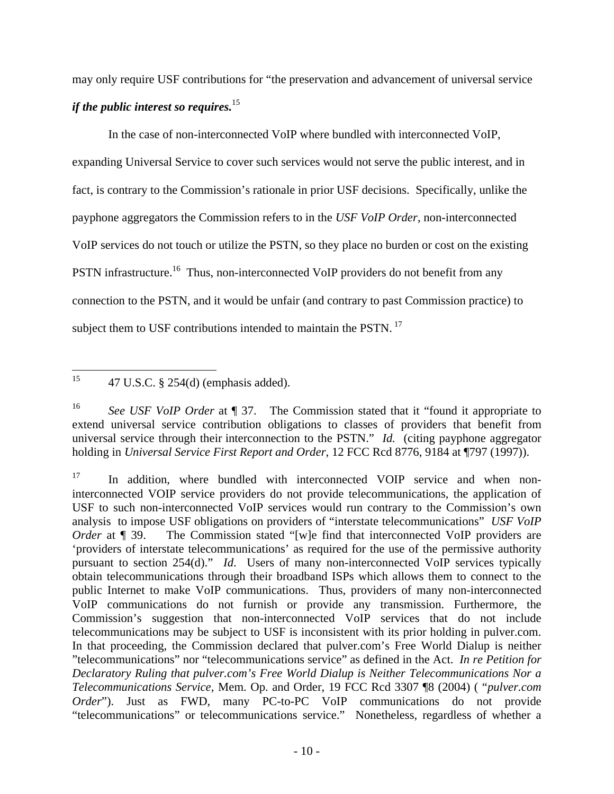may only require USF contributions for "the preservation and advancement of universal service *if the public interest so requires.*15

In the case of non-interconnected VoIP where bundled with interconnected VoIP, expanding Universal Service to cover such services would not serve the public interest, and in fact, is contrary to the Commission's rationale in prior USF decisions. Specifically, unlike the payphone aggregators the Commission refers to in the *USF VoIP Order*, non-interconnected VoIP services do not touch or utilize the PSTN, so they place no burden or cost on the existing PSTN infrastructure.<sup>16</sup> Thus, non-interconnected VoIP providers do not benefit from any connection to the PSTN, and it would be unfair (and contrary to past Commission practice) to subject them to USF contributions intended to maintain the PSTN.<sup>17</sup>

<sup>15</sup> 15 47 U.S.C. § 254(d) (emphasis added).

<sup>16</sup> *See USF VoIP Order* at ¶ 37. The Commission stated that it "found it appropriate to extend universal service contribution obligations to classes of providers that benefit from universal service through their interconnection to the PSTN." *Id.* (citing payphone aggregator holding in *Universal Service First Report and Order*, 12 FCC Rcd 8776, 9184 at ¶797 (1997)).

<sup>&</sup>lt;sup>17</sup> In addition, where bundled with interconnected VOIP service and when noninterconnected VOIP service providers do not provide telecommunications, the application of USF to such non-interconnected VoIP services would run contrary to the Commission's own analysis to impose USF obligations on providers of "interstate telecommunications" *USF VoIP Order* at ¶ 39. The Commission stated "[w]e find that interconnected VoIP providers are 'providers of interstate telecommunications' as required for the use of the permissive authority pursuant to section 254(d)." *Id*. Users of many non-interconnected VoIP services typically obtain telecommunications through their broadband ISPs which allows them to connect to the public Internet to make VoIP communications. Thus, providers of many non-interconnected VoIP communications do not furnish or provide any transmission. Furthermore, the Commission's suggestion that non-interconnected VoIP services that do not include telecommunications may be subject to USF is inconsistent with its prior holding in pulver.com. In that proceeding, the Commission declared that pulver.com's Free World Dialup is neither "telecommunications" nor "telecommunications service" as defined in the Act. *In re Petition for Declaratory Ruling that pulver.com's Free World Dialup is Neither Telecommunications Nor a Telecommunications Service*, Mem. Op. and Order, 19 FCC Rcd 3307 ¶8 (2004) ( "*pulver.com Order*"). Just as FWD, many PC-to-PC VoIP communications do not provide "telecommunications" or telecommunications service." Nonetheless, regardless of whether a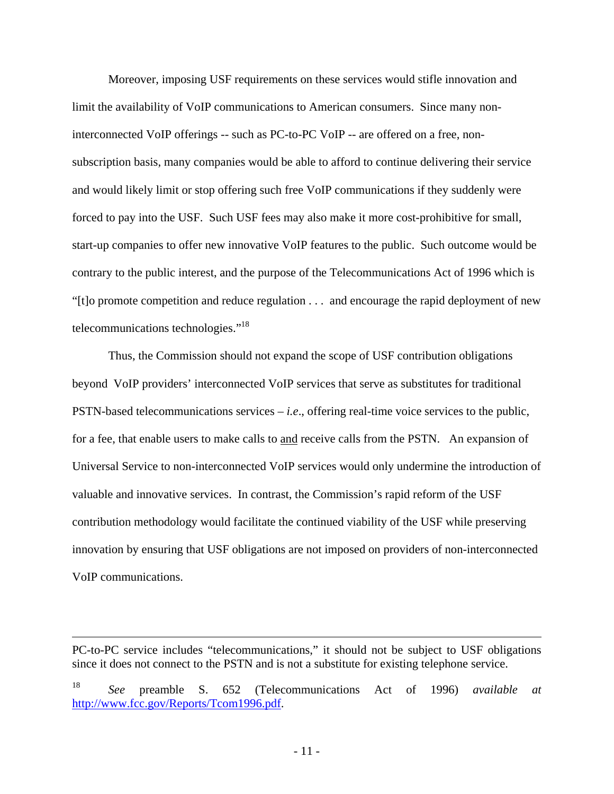Moreover, imposing USF requirements on these services would stifle innovation and limit the availability of VoIP communications to American consumers. Since many noninterconnected VoIP offerings -- such as PC-to-PC VoIP -- are offered on a free, nonsubscription basis, many companies would be able to afford to continue delivering their service and would likely limit or stop offering such free VoIP communications if they suddenly were forced to pay into the USF. Such USF fees may also make it more cost-prohibitive for small, start-up companies to offer new innovative VoIP features to the public. Such outcome would be contrary to the public interest, and the purpose of the Telecommunications Act of 1996 which is "[t]o promote competition and reduce regulation . . . and encourage the rapid deployment of new telecommunications technologies."18

Thus, the Commission should not expand the scope of USF contribution obligations beyond VoIP providers' interconnected VoIP services that serve as substitutes for traditional PSTN-based telecommunications services – *i.e*., offering real-time voice services to the public, for a fee, that enable users to make calls to and receive calls from the PSTN. An expansion of Universal Service to non-interconnected VoIP services would only undermine the introduction of valuable and innovative services. In contrast, the Commission's rapid reform of the USF contribution methodology would facilitate the continued viability of the USF while preserving innovation by ensuring that USF obligations are not imposed on providers of non-interconnected VoIP communications.

PC-to-PC service includes "telecommunications," it should not be subject to USF obligations since it does not connect to the PSTN and is not a substitute for existing telephone service.

<sup>18</sup> *See* preamble S. 652 (Telecommunications Act of 1996) *available at* http://www.fcc.gov/Reports/Tcom1996.pdf.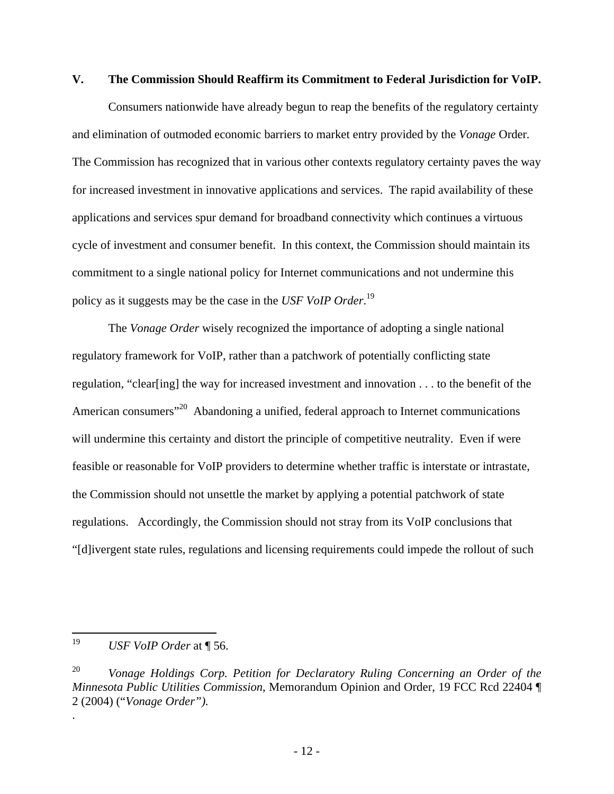#### **V. The Commission Should Reaffirm its Commitment to Federal Jurisdiction for VoIP.**

Consumers nationwide have already begun to reap the benefits of the regulatory certainty and elimination of outmoded economic barriers to market entry provided by the *Vonage* Order*.* The Commission has recognized that in various other contexts regulatory certainty paves the way for increased investment in innovative applications and services. The rapid availability of these applications and services spur demand for broadband connectivity which continues a virtuous cycle of investment and consumer benefit. In this context, the Commission should maintain its commitment to a single national policy for Internet communications and not undermine this policy as it suggests may be the case in the *USF VoIP Order*. 19

 The *Vonage Order* wisely recognized the importance of adopting a single national regulatory framework for VoIP, rather than a patchwork of potentially conflicting state regulation, "clear[ing] the way for increased investment and innovation . . . to the benefit of the American consumers<sup>"20</sup> Abandoning a unified, federal approach to Internet communications will undermine this certainty and distort the principle of competitive neutrality. Even if were feasible or reasonable for VoIP providers to determine whether traffic is interstate or intrastate, the Commission should not unsettle the market by applying a potential patchwork of state regulations. Accordingly, the Commission should not stray from its VoIP conclusions that "[d]ivergent state rules, regulations and licensing requirements could impede the rollout of such

.

<sup>19</sup> *USF VoIP Order* at ¶ 56.

<sup>20</sup> *Vonage Holdings Corp. Petition for Declaratory Ruling Concerning an Order of the Minnesota Public Utilities Commission*, Memorandum Opinion and Order, 19 FCC Rcd 22404 ¶ 2 (2004) ("*Vonage Order").*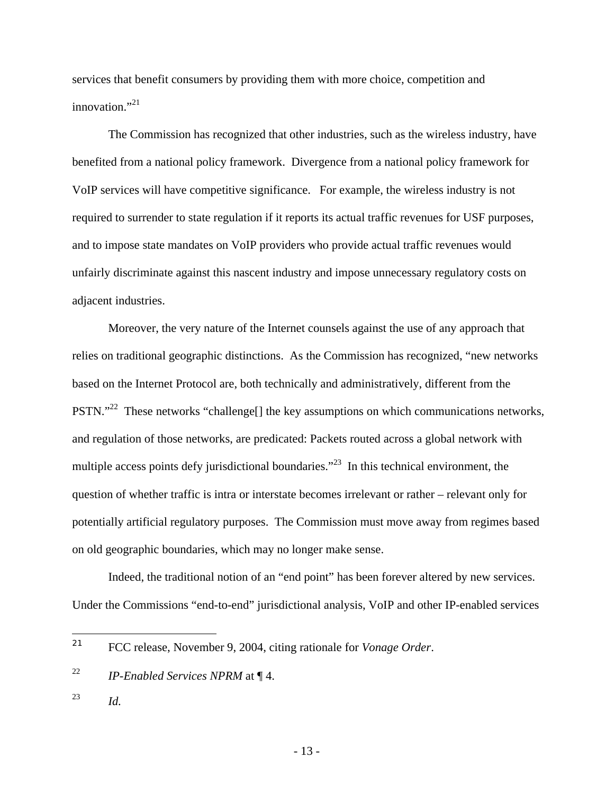services that benefit consumers by providing them with more choice, competition and innovation $^{1,21}$ 

The Commission has recognized that other industries, such as the wireless industry, have benefited from a national policy framework. Divergence from a national policy framework for VoIP services will have competitive significance. For example, the wireless industry is not required to surrender to state regulation if it reports its actual traffic revenues for USF purposes, and to impose state mandates on VoIP providers who provide actual traffic revenues would unfairly discriminate against this nascent industry and impose unnecessary regulatory costs on adjacent industries.

Moreover, the very nature of the Internet counsels against the use of any approach that relies on traditional geographic distinctions. As the Commission has recognized, "new networks based on the Internet Protocol are, both technically and administratively, different from the PSTN."<sup>22</sup> These networks "challenge<sup>[]</sup> the key assumptions on which communications networks, and regulation of those networks, are predicated: Packets routed across a global network with multiple access points defy jurisdictional boundaries."<sup>23</sup> In this technical environment, the question of whether traffic is intra or interstate becomes irrelevant or rather – relevant only for potentially artificial regulatory purposes. The Commission must move away from regimes based on old geographic boundaries, which may no longer make sense.

Indeed, the traditional notion of an "end point" has been forever altered by new services. Under the Commissions "end-to-end" jurisdictional analysis, VoIP and other IP-enabled services

23 *Id.* 

<sup>21</sup> FCC release, November 9, 2004, citing rationale for *Vonage Order*.

<sup>22</sup> *IP-Enabled Services NPRM* at ¶ 4.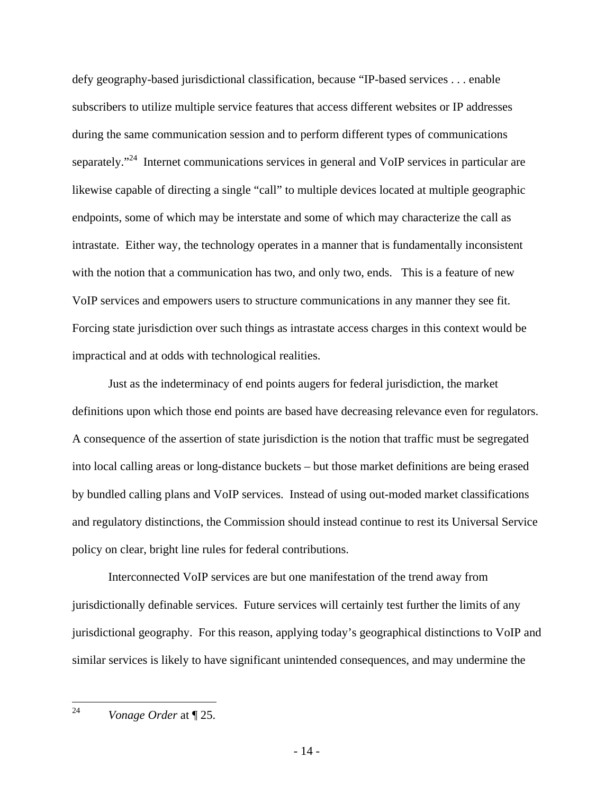defy geography-based jurisdictional classification, because "IP-based services . . . enable subscribers to utilize multiple service features that access different websites or IP addresses during the same communication session and to perform different types of communications separately."<sup>24</sup> Internet communications services in general and VoIP services in particular are likewise capable of directing a single "call" to multiple devices located at multiple geographic endpoints, some of which may be interstate and some of which may characterize the call as intrastate. Either way, the technology operates in a manner that is fundamentally inconsistent with the notion that a communication has two, and only two, ends. This is a feature of new VoIP services and empowers users to structure communications in any manner they see fit. Forcing state jurisdiction over such things as intrastate access charges in this context would be impractical and at odds with technological realities.

Just as the indeterminacy of end points augers for federal jurisdiction, the market definitions upon which those end points are based have decreasing relevance even for regulators. A consequence of the assertion of state jurisdiction is the notion that traffic must be segregated into local calling areas or long-distance buckets – but those market definitions are being erased by bundled calling plans and VoIP services. Instead of using out-moded market classifications and regulatory distinctions, the Commission should instead continue to rest its Universal Service policy on clear, bright line rules for federal contributions.

Interconnected VoIP services are but one manifestation of the trend away from jurisdictionally definable services. Future services will certainly test further the limits of any jurisdictional geography. For this reason, applying today's geographical distinctions to VoIP and similar services is likely to have significant unintended consequences, and may undermine the

<sup>24</sup> *Vonage Order* at  $\P$  25.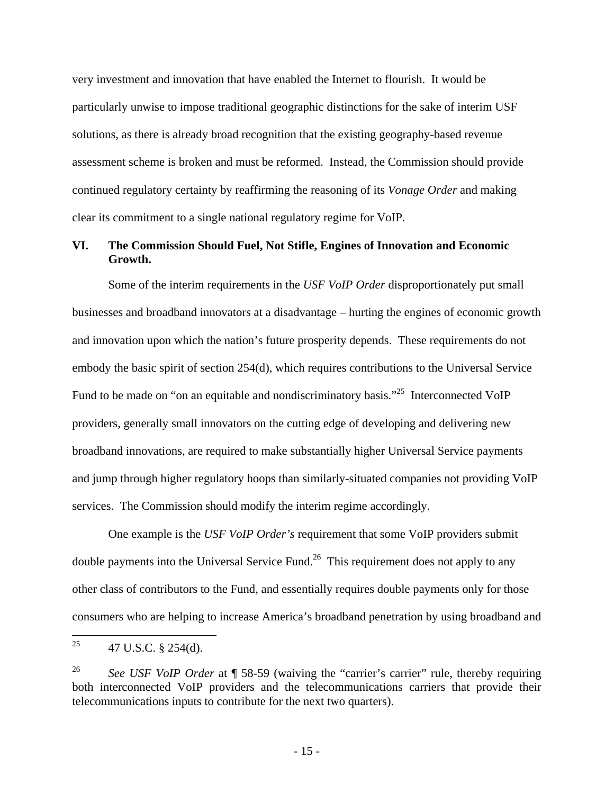very investment and innovation that have enabled the Internet to flourish. It would be particularly unwise to impose traditional geographic distinctions for the sake of interim USF solutions, as there is already broad recognition that the existing geography-based revenue assessment scheme is broken and must be reformed. Instead, the Commission should provide continued regulatory certainty by reaffirming the reasoning of its *Vonage Order* and making clear its commitment to a single national regulatory regime for VoIP.

#### **VI. The Commission Should Fuel, Not Stifle, Engines of Innovation and Economic Growth.**

Some of the interim requirements in the *USF VoIP Order* disproportionately put small businesses and broadband innovators at a disadvantage – hurting the engines of economic growth and innovation upon which the nation's future prosperity depends. These requirements do not embody the basic spirit of section 254(d), which requires contributions to the Universal Service Fund to be made on "on an equitable and nondiscriminatory basis."<sup>25</sup> Interconnected VoIP providers, generally small innovators on the cutting edge of developing and delivering new broadband innovations, are required to make substantially higher Universal Service payments and jump through higher regulatory hoops than similarly-situated companies not providing VoIP services. The Commission should modify the interim regime accordingly.

One example is the *USF VoIP Order's* requirement that some VoIP providers submit double payments into the Universal Service Fund.<sup>26</sup> This requirement does not apply to any other class of contributors to the Fund, and essentially requires double payments only for those consumers who are helping to increase America's broadband penetration by using broadband and

<sup>25</sup> 25 47 U.S.C. § 254(d).

<sup>&</sup>lt;sup>26</sup> *See USF VoIP Order* at ¶ 58-59 (waiving the "carrier's carrier" rule, thereby requiring both interconnected VoIP providers and the telecommunications carriers that provide their telecommunications inputs to contribute for the next two quarters).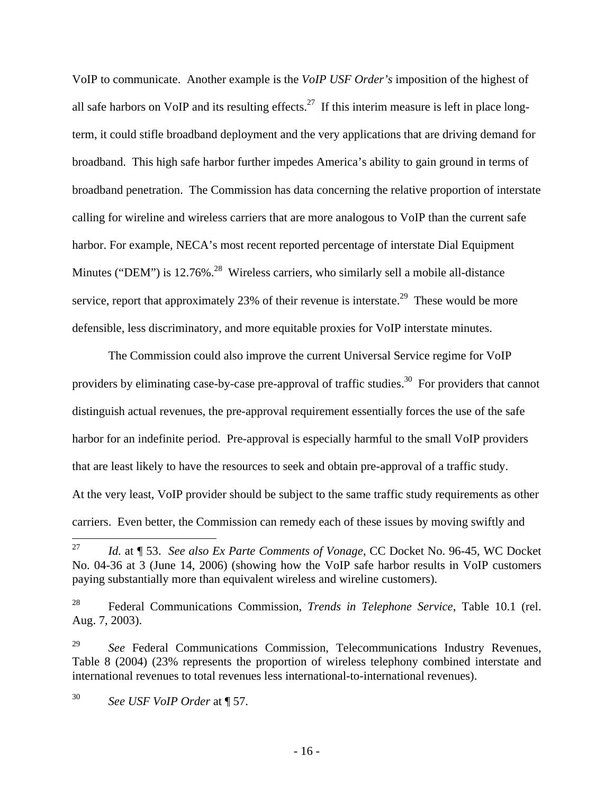VoIP to communicate. Another example is the *VoIP USF Order's* imposition of the highest of all safe harbors on VoIP and its resulting effects.<sup>27</sup> If this interim measure is left in place longterm, it could stifle broadband deployment and the very applications that are driving demand for broadband. This high safe harbor further impedes America's ability to gain ground in terms of broadband penetration. The Commission has data concerning the relative proportion of interstate calling for wireline and wireless carriers that are more analogous to VoIP than the current safe harbor. For example, NECA's most recent reported percentage of interstate Dial Equipment Minutes ("DEM") is 12.76%.<sup>28</sup> Wireless carriers, who similarly sell a mobile all-distance service, report that approximately 23% of their revenue is interstate.<sup>29</sup> These would be more defensible, less discriminatory, and more equitable proxies for VoIP interstate minutes.

The Commission could also improve the current Universal Service regime for VoIP providers by eliminating case-by-case pre-approval of traffic studies.<sup>30</sup> For providers that cannot distinguish actual revenues, the pre-approval requirement essentially forces the use of the safe harbor for an indefinite period. Pre-approval is especially harmful to the small VoIP providers that are least likely to have the resources to seek and obtain pre-approval of a traffic study. At the very least, VoIP provider should be subject to the same traffic study requirements as other carriers. Even better, the Commission can remedy each of these issues by moving swiftly and

 $27\,$ 27 *Id.* at ¶ 53. *See also Ex Parte Comments of Vonage*, CC Docket No. 96-45, WC Docket No. 04-36 at 3 (June 14, 2006) (showing how the VoIP safe harbor results in VoIP customers paying substantially more than equivalent wireless and wireline customers).

<sup>28</sup> Federal Communications Commission, *Trends in Telephone Service*, Table 10.1 (rel. Aug. 7, 2003).

<sup>&</sup>lt;sup>29</sup> *See* Federal Communications Commission, Telecommunications Industry Revenues, Table 8 (2004) (23% represents the proportion of wireless telephony combined interstate and international revenues to total revenues less international-to-international revenues).

<sup>30</sup> *See USF VoIP Order* at ¶ 57.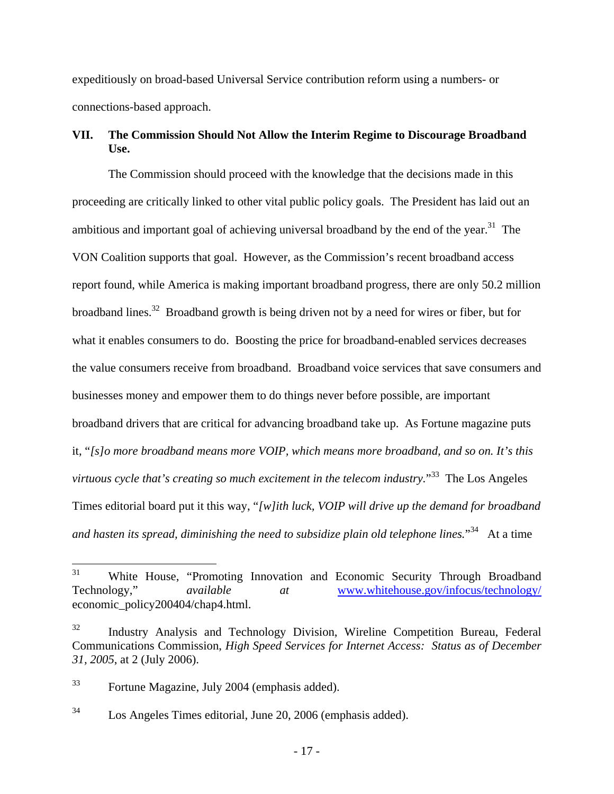expeditiously on broad-based Universal Service contribution reform using a numbers- or connections-based approach.

## **VII. The Commission Should Not Allow the Interim Regime to Discourage Broadband Use.**

The Commission should proceed with the knowledge that the decisions made in this proceeding are critically linked to other vital public policy goals. The President has laid out an ambitious and important goal of achieving universal broadband by the end of the year.<sup>31</sup> The VON Coalition supports that goal. However, as the Commission's recent broadband access report found, while America is making important broadband progress, there are only 50.2 million broadband lines.<sup>32</sup> Broadband growth is being driven not by a need for wires or fiber, but for what it enables consumers to do. Boosting the price for broadband-enabled services decreases the value consumers receive from broadband. Broadband voice services that save consumers and businesses money and empower them to do things never before possible, are important broadband drivers that are critical for advancing broadband take up. As Fortune magazine puts it, "*[s]o more broadband means more VOIP, which means more broadband, and so on. It's this virtuous cycle that's creating so much excitement in the telecom industry.*" 33 The Los Angeles Times editorial board put it this way, "*[w]ith luck, VOIP will drive up the demand for broadband*  and hasten its spread, diminishing the need to subsidize plain old telephone lines.<sup>"34</sup> At a time

<sup>31</sup> White House, "Promoting Innovation and Economic Security Through Broadband Technology," *available at* www.whitehouse.gov/infocus/technology/ economic\_policy200404/chap4.html.

<sup>32</sup> Industry Analysis and Technology Division, Wireline Competition Bureau, Federal Communications Commission, *High Speed Services for Internet Access: Status as of December 31, 2005*, at 2 (July 2006).

<sup>33</sup> Fortune Magazine, July 2004 (emphasis added).

<sup>34</sup> Los Angeles Times editorial, June 20, 2006 (emphasis added).